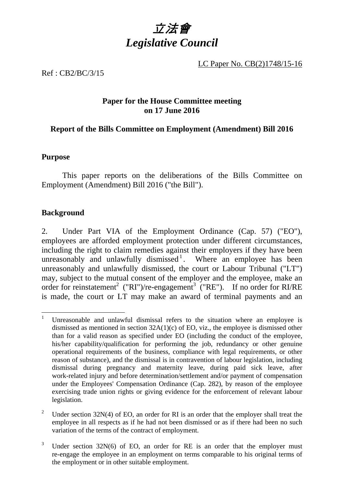

LC Paper No. CB(2)1748/15-16

Ref : CB2/BC/3/15

## **Paper for the House Committee meeting on 17 June 2016**

## **Report of the Bills Committee on Employment (Amendment) Bill 2016**

## **Purpose**

This paper reports on the deliberations of the Bills Committee on Employment (Amendment) Bill 2016 ("the Bill").

## **Background**

2. Under Part VIA of the Employment Ordinance (Cap. 57) ("EO"), employees are afforded employment protection under different circumstances, including the right to claim remedies against their employers if they have been unreasonably and unlawfully dismissed<sup>1</sup>. Where an employee has been unreasonably and unlawfully dismissed, the court or Labour Tribunal ("LT") may, subject to the mutual consent of the employer and the employee, make an order for reinstatement<sup>2</sup> ("RI")/re-engagement<sup>3</sup> ("RE"). If no order for RI/RE is made, the court or LT may make an award of terminal payments and an

<sup>-</sup><sup>1</sup> Unreasonable and unlawful dismissal refers to the situation where an employee is dismissed as mentioned in section  $32A(1)(c)$  of EO, viz., the employee is dismissed other than for a valid reason as specified under EO (including the conduct of the employee, his/her capability/qualification for performing the job, redundancy or other genuine operational requirements of the business, compliance with legal requirements, or other reason of substance), and the dismissal is in contravention of labour legislation, including dismissal during pregnancy and maternity leave, during paid sick leave, after work-related injury and before determination/settlement and/or payment of compensation under the Employees' Compensation Ordinance (Cap. 282), by reason of the employee exercising trade union rights or giving evidence for the enforcement of relevant labour legislation.

<sup>&</sup>lt;sup>2</sup> Under section 32N(4) of EO, an order for RI is an order that the employer shall treat the employee in all respects as if he had not been dismissed or as if there had been no such variation of the terms of the contract of employment.

<sup>3</sup> Under section  $32N(6)$  of EO, an order for RE is an order that the employer must re-engage the employee in an employment on terms comparable to his original terms of the employment or in other suitable employment.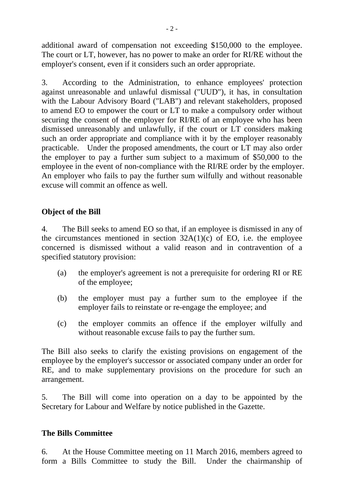additional award of compensation not exceeding \$150,000 to the employee. The court or LT, however, has no power to make an order for RI/RE without the employer's consent, even if it considers such an order appropriate.

3. According to the Administration, to enhance employees' protection against unreasonable and unlawful dismissal ("UUD"), it has, in consultation with the Labour Advisory Board ("LAB") and relevant stakeholders, proposed to amend EO to empower the court or LT to make a compulsory order without securing the consent of the employer for RI/RE of an employee who has been dismissed unreasonably and unlawfully, if the court or LT considers making such an order appropriate and compliance with it by the employer reasonably practicable. Under the proposed amendments, the court or LT may also order the employer to pay a further sum subject to a maximum of \$50,000 to the employee in the event of non-compliance with the RI/RE order by the employer. An employer who fails to pay the further sum wilfully and without reasonable excuse will commit an offence as well.

## **Object of the Bill**

4. The Bill seeks to amend EO so that, if an employee is dismissed in any of the circumstances mentioned in section  $32A(1)(c)$  of EO, i.e. the employee concerned is dismissed without a valid reason and in contravention of a specified statutory provision:

- (a) the employer's agreement is not a prerequisite for ordering RI or RE of the employee;
- (b) the employer must pay a further sum to the employee if the employer fails to reinstate or re-engage the employee; and
- (c) the employer commits an offence if the employer wilfully and without reasonable excuse fails to pay the further sum.

The Bill also seeks to clarify the existing provisions on engagement of the employee by the employer's successor or associated company under an order for RE, and to make supplementary provisions on the procedure for such an arrangement.

5. The Bill will come into operation on a day to be appointed by the Secretary for Labour and Welfare by notice published in the Gazette.

## **The Bills Committee**

6. At the House Committee meeting on 11 March 2016, members agreed to form a Bills Committee to study the Bill. Under the chairmanship of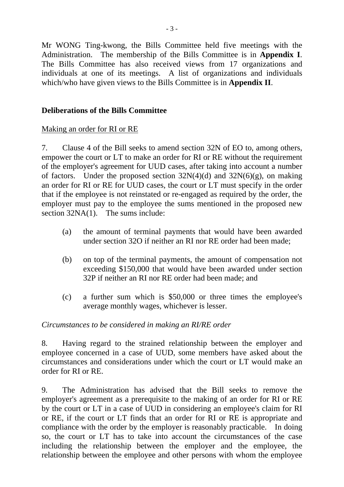Mr WONG Ting-kwong, the Bills Committee held five meetings with the Administration. The membership of the Bills Committee is in **Appendix I**. The Bills Committee has also received views from 17 organizations and individuals at one of its meetings. A list of organizations and individuals which/who have given views to the Bills Committee is in **Appendix II**.

## **Deliberations of the Bills Committee**

## Making an order for RI or RE

7. Clause 4 of the Bill seeks to amend section 32N of EO to, among others, empower the court or LT to make an order for RI or RE without the requirement of the employer's agreement for UUD cases, after taking into account a number of factors. Under the proposed section  $32N(4)(d)$  and  $32N(6)(g)$ , on making an order for RI or RE for UUD cases, the court or LT must specify in the order that if the employee is not reinstated or re-engaged as required by the order, the employer must pay to the employee the sums mentioned in the proposed new section 32NA(1). The sums include:

- (a) the amount of terminal payments that would have been awarded under section 32O if neither an RI nor RE order had been made;
- (b) on top of the terminal payments, the amount of compensation not exceeding \$150,000 that would have been awarded under section 32P if neither an RI nor RE order had been made; and
- (c) a further sum which is \$50,000 or three times the employee's average monthly wages, whichever is lesser.

*Circumstances to be considered in making an RI/RE order* 

8. Having regard to the strained relationship between the employer and employee concerned in a case of UUD, some members have asked about the circumstances and considerations under which the court or LT would make an order for RI or RE.

9. The Administration has advised that the Bill seeks to remove the employer's agreement as a prerequisite to the making of an order for RI or RE by the court or LT in a case of UUD in considering an employee's claim for RI or RE, if the court or LT finds that an order for RI or RE is appropriate and compliance with the order by the employer is reasonably practicable. In doing so, the court or LT has to take into account the circumstances of the case including the relationship between the employer and the employee, the relationship between the employee and other persons with whom the employee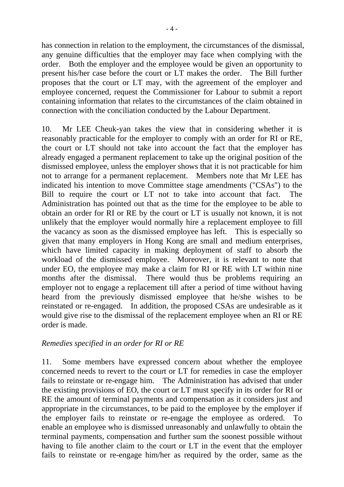has connection in relation to the employment, the circumstances of the dismissal, any genuine difficulties that the employer may face when complying with the order. Both the employer and the employee would be given an opportunity to present his/her case before the court or LT makes the order. The Bill further proposes that the court or LT may, with the agreement of the employer and employee concerned, request the Commissioner for Labour to submit a report containing information that relates to the circumstances of the claim obtained in connection with the conciliation conducted by the Labour Department.

10. Mr LEE Cheuk-yan takes the view that in considering whether it is reasonably practicable for the employer to comply with an order for RI or RE, the court or LT should not take into account the fact that the employer has already engaged a permanent replacement to take up the original position of the dismissed employee, unless the employer shows that it is not practicable for him not to arrange for a permanent replacement. Members note that Mr LEE has indicated his intention to move Committee stage amendments ("CSAs") to the Bill to require the court or LT not to take into account that fact. The Administration has pointed out that as the time for the employee to be able to obtain an order for RI or RE by the court or LT is usually not known, it is not unlikely that the employer would normally hire a replacement employee to fill the vacancy as soon as the dismissed employee has left. This is especially so given that many employers in Hong Kong are small and medium enterprises, which have limited capacity in making deployment of staff to absorb the workload of the dismissed employee. Moreover, it is relevant to note that under EO, the employee may make a claim for RI or RE with LT within nine months after the dismissal. There would thus be problems requiring an employer not to engage a replacement till after a period of time without having heard from the previously dismissed employee that he/she wishes to be reinstated or re-engaged. In addition, the proposed CSAs are undesirable as it would give rise to the dismissal of the replacement employee when an RI or RE order is made.

## *Remedies specified in an order for RI or RE*

11. Some members have expressed concern about whether the employee concerned needs to revert to the court or LT for remedies in case the employer fails to reinstate or re-engage him. The Administration has advised that under the existing provisions of EO, the court or LT must specify in its order for RI or RE the amount of terminal payments and compensation as it considers just and appropriate in the circumstances, to be paid to the employee by the employer if the employer fails to reinstate or re-engage the employee as ordered. To enable an employee who is dismissed unreasonably and unlawfully to obtain the terminal payments, compensation and further sum the soonest possible without having to file another claim to the court or LT in the event that the employer fails to reinstate or re-engage him/her as required by the order, same as the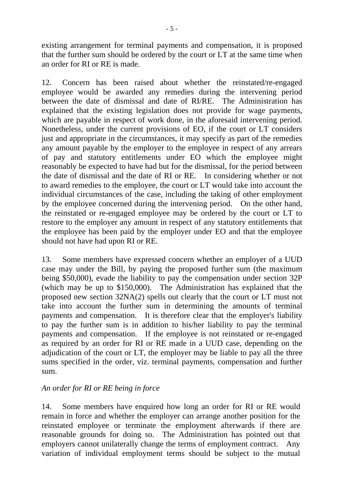existing arrangement for terminal payments and compensation, it is proposed that the further sum should be ordered by the court or LT at the same time when an order for RI or RE is made.

12. Concern has been raised about whether the reinstated/re-engaged employee would be awarded any remedies during the intervening period between the date of dismissal and date of RI/RE. The Administration has explained that the existing legislation does not provide for wage payments, which are payable in respect of work done, in the aforesaid intervening period. Nonetheless, under the current provisions of EO, if the court or LT considers just and appropriate in the circumstances, it may specify as part of the remedies any amount payable by the employer to the employee in respect of any arrears of pay and statutory entitlements under EO which the employee might reasonably be expected to have had but for the dismissal, for the period between the date of dismissal and the date of RI or RE. In considering whether or not to award remedies to the employee, the court or LT would take into account the individual circumstances of the case, including the taking of other employment by the employee concerned during the intervening period. On the other hand, the reinstated or re-engaged employee may be ordered by the court or LT to restore to the employer any amount in respect of any statutory entitlements that the employee has been paid by the employer under EO and that the employee should not have had upon RI or RE.

13. Some members have expressed concern whether an employer of a UUD case may under the Bill, by paying the proposed further sum (the maximum being \$50,000), evade the liability to pay the compensation under section 32P (which may be up to \$150,000). The Administration has explained that the proposed new section 32NA(2) spells out clearly that the court or LT must not take into account the further sum in determining the amounts of terminal payments and compensation. It is therefore clear that the employer's liability to pay the further sum is in addition to his/her liability to pay the terminal payments and compensation. If the employee is not reinstated or re-engaged as required by an order for RI or RE made in a UUD case, depending on the adjudication of the court or LT, the employer may be liable to pay all the three sums specified in the order, viz. terminal payments, compensation and further sum.

## *An order for RI or RE being in force*

14. Some members have enquired how long an order for RI or RE would remain in force and whether the employer can arrange another position for the reinstated employee or terminate the employment afterwards if there are reasonable grounds for doing so. The Administration has pointed out that employers cannot unilaterally change the terms of employment contract. Any variation of individual employment terms should be subject to the mutual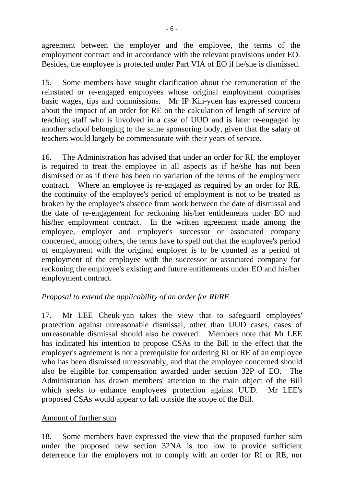agreement between the employer and the employee, the terms of the employment contract and in accordance with the relevant provisions under EO. Besides, the employee is protected under Part VIA of EO if he/she is dismissed.

15. Some members have sought clarification about the remuneration of the reinstated or re-engaged employees whose original employment comprises basic wages, tips and commissions. Mr IP Kin-yuen has expressed concern about the impact of an order for RE on the calculation of length of service of teaching staff who is involved in a case of UUD and is later re-engaged by another school belonging to the same sponsoring body, given that the salary of teachers would largely be commensurate with their years of service.

16. The Administration has advised that under an order for RI, the employer is required to treat the employee in all aspects as if he/she has not been dismissed or as if there has been no variation of the terms of the employment contract. Where an employee is re-engaged as required by an order for RE, the continuity of the employee's period of employment is not to be treated as broken by the employee's absence from work between the date of dismissal and the date of re-engagement for reckoning his/her entitlements under EO and his/her employment contract. In the written agreement made among the employee, employer and employer's successor or associated company concerned, among others, the terms have to spell out that the employee's period of employment with the original employer is to be counted as a period of employment of the employee with the successor or associated company for reckoning the employee's existing and future entitlements under EO and his/her employment contract.

## *Proposal to extend the applicability of an order for RI/RE*

17. Mr LEE Cheuk-yan takes the view that to safeguard employees' protection against unreasonable dismissal, other than UUD cases, cases of unreasonable dismissal should also be covered. Members note that Mr LEE has indicated his intention to propose CSAs to the Bill to the effect that the employer's agreement is not a prerequisite for ordering RI or RE of an employee who has been dismissed unreasonably, and that the employee concerned should also be eligible for compensation awarded under section 32P of EO. The Administration has drawn members' attention to the main object of the Bill which seeks to enhance employees' protection against UUD. Mr LEE's proposed CSAs would appear to fall outside the scope of the Bill.

## Amount of further sum

18. Some members have expressed the view that the proposed further sum under the proposed new section 32NA is too low to provide sufficient deterrence for the employers not to comply with an order for RI or RE, nor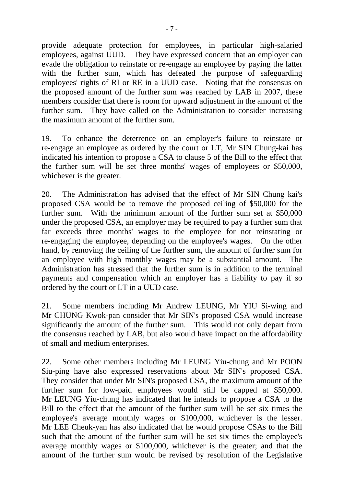provide adequate protection for employees, in particular high-salaried employees, against UUD. They have expressed concern that an employer can evade the obligation to reinstate or re-engage an employee by paying the latter with the further sum, which has defeated the purpose of safeguarding employees' rights of RI or RE in a UUD case. Noting that the consensus on the proposed amount of the further sum was reached by LAB in 2007, these members consider that there is room for upward adjustment in the amount of the further sum. They have called on the Administration to consider increasing the maximum amount of the further sum.

19. To enhance the deterrence on an employer's failure to reinstate or re-engage an employee as ordered by the court or LT, Mr SIN Chung-kai has indicated his intention to propose a CSA to clause 5 of the Bill to the effect that the further sum will be set three months' wages of employees or \$50,000, whichever is the greater.

20. The Administration has advised that the effect of Mr SIN Chung kai's proposed CSA would be to remove the proposed ceiling of \$50,000 for the further sum. With the minimum amount of the further sum set at \$50,000 under the proposed CSA, an employer may be required to pay a further sum that far exceeds three months' wages to the employee for not reinstating or re-engaging the employee, depending on the employee's wages. On the other hand, by removing the ceiling of the further sum, the amount of further sum for an employee with high monthly wages may be a substantial amount. The Administration has stressed that the further sum is in addition to the terminal payments and compensation which an employer has a liability to pay if so ordered by the court or LT in a UUD case.

21. Some members including Mr Andrew LEUNG, Mr YIU Si-wing and Mr CHUNG Kwok-pan consider that Mr SIN's proposed CSA would increase significantly the amount of the further sum. This would not only depart from the consensus reached by LAB, but also would have impact on the affordability of small and medium enterprises.

22. Some other members including Mr LEUNG Yiu-chung and Mr POON Siu-ping have also expressed reservations about Mr SIN's proposed CSA. They consider that under Mr SIN's proposed CSA, the maximum amount of the further sum for low-paid employees would still be capped at \$50,000. Mr LEUNG Yiu-chung has indicated that he intends to propose a CSA to the Bill to the effect that the amount of the further sum will be set six times the employee's average monthly wages or \$100,000, whichever is the lesser. Mr LEE Cheuk-yan has also indicated that he would propose CSAs to the Bill such that the amount of the further sum will be set six times the employee's average monthly wages or \$100,000, whichever is the greater; and that the amount of the further sum would be revised by resolution of the Legislative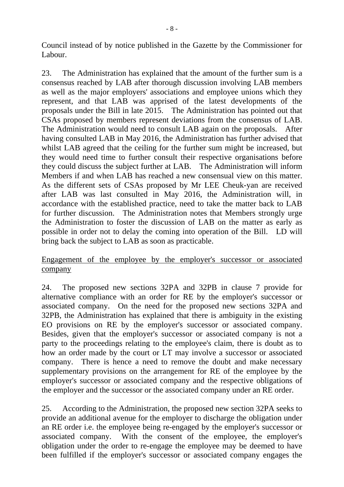Council instead of by notice published in the Gazette by the Commissioner for Labour.

23. The Administration has explained that the amount of the further sum is a consensus reached by LAB after thorough discussion involving LAB members as well as the major employers' associations and employee unions which they represent, and that LAB was apprised of the latest developments of the proposals under the Bill in late 2015. The Administration has pointed out that CSAs proposed by members represent deviations from the consensus of LAB. The Administration would need to consult LAB again on the proposals. After having consulted LAB in May 2016, the Administration has further advised that whilst LAB agreed that the ceiling for the further sum might be increased, but they would need time to further consult their respective organisations before they could discuss the subject further at LAB. The Administration will inform Members if and when LAB has reached a new consensual view on this matter. As the different sets of CSAs proposed by Mr LEE Cheuk-yan are received after LAB was last consulted in May 2016, the Administration will, in accordance with the established practice, need to take the matter back to LAB for further discussion. The Administration notes that Members strongly urge the Administration to foster the discussion of LAB on the matter as early as possible in order not to delay the coming into operation of the Bill. LD will bring back the subject to LAB as soon as practicable.

## Engagement of the employee by the employer's successor or associated company

24. The proposed new sections 32PA and 32PB in clause 7 provide for alternative compliance with an order for RE by the employer's successor or associated company. On the need for the proposed new sections 32PA and 32PB, the Administration has explained that there is ambiguity in the existing EO provisions on RE by the employer's successor or associated company. Besides, given that the employer's successor or associated company is not a party to the proceedings relating to the employee's claim, there is doubt as to how an order made by the court or LT may involve a successor or associated company. There is hence a need to remove the doubt and make necessary supplementary provisions on the arrangement for RE of the employee by the employer's successor or associated company and the respective obligations of the employer and the successor or the associated company under an RE order.

25. According to the Administration, the proposed new section 32PA seeks to provide an additional avenue for the employer to discharge the obligation under an RE order i.e. the employee being re-engaged by the employer's successor or associated company. With the consent of the employee, the employer's obligation under the order to re-engage the employee may be deemed to have been fulfilled if the employer's successor or associated company engages the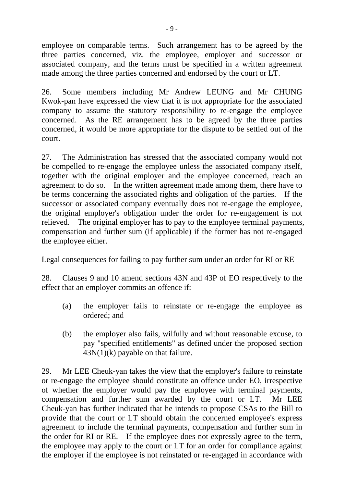employee on comparable terms. Such arrangement has to be agreed by the three parties concerned, viz. the employee, employer and successor or associated company, and the terms must be specified in a written agreement made among the three parties concerned and endorsed by the court or LT.

26. Some members including Mr Andrew LEUNG and Mr CHUNG Kwok-pan have expressed the view that it is not appropriate for the associated company to assume the statutory responsibility to re-engage the employee concerned. As the RE arrangement has to be agreed by the three parties concerned, it would be more appropriate for the dispute to be settled out of the court.

27. The Administration has stressed that the associated company would not be compelled to re-engage the employee unless the associated company itself, together with the original employer and the employee concerned, reach an agreement to do so. In the written agreement made among them, there have to be terms concerning the associated rights and obligation of the parties. If the successor or associated company eventually does not re-engage the employee, the original employer's obligation under the order for re-engagement is not relieved. The original employer has to pay to the employee terminal payments, compensation and further sum (if applicable) if the former has not re-engaged the employee either.

## Legal consequences for failing to pay further sum under an order for RI or RE

28. Clauses 9 and 10 amend sections 43N and 43P of EO respectively to the effect that an employer commits an offence if:

- (a) the employer fails to reinstate or re-engage the employee as ordered; and
- (b) the employer also fails, wilfully and without reasonable excuse, to pay "specified entitlements" as defined under the proposed section  $43N(1)(k)$  payable on that failure.

29. Mr LEE Cheuk-yan takes the view that the employer's failure to reinstate or re-engage the employee should constitute an offence under EO, irrespective of whether the employer would pay the employee with terminal payments, compensation and further sum awarded by the court or LT. Mr LEE Cheuk-yan has further indicated that he intends to propose CSAs to the Bill to provide that the court or LT should obtain the concerned employee's express agreement to include the terminal payments, compensation and further sum in the order for RI or RE. If the employee does not expressly agree to the term, the employee may apply to the court or LT for an order for compliance against the employer if the employee is not reinstated or re-engaged in accordance with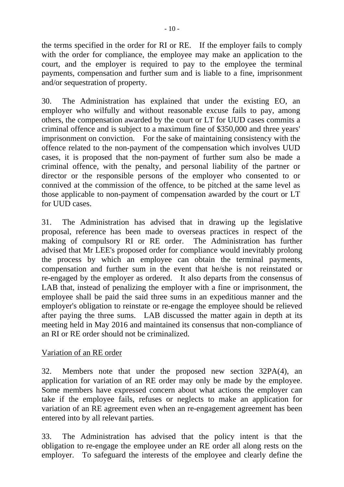the terms specified in the order for RI or RE. If the employer fails to comply with the order for compliance, the employee may make an application to the court, and the employer is required to pay to the employee the terminal payments, compensation and further sum and is liable to a fine, imprisonment and/or sequestration of property.

30. The Administration has explained that under the existing EO, an employer who wilfully and without reasonable excuse fails to pay, among others, the compensation awarded by the court or LT for UUD cases commits a criminal offence and is subject to a maximum fine of \$350,000 and three years' imprisonment on conviction. For the sake of maintaining consistency with the offence related to the non-payment of the compensation which involves UUD cases, it is proposed that the non-payment of further sum also be made a criminal offence, with the penalty, and personal liability of the partner or director or the responsible persons of the employer who consented to or connived at the commission of the offence, to be pitched at the same level as those applicable to non-payment of compensation awarded by the court or LT for UUD cases.

31. The Administration has advised that in drawing up the legislative proposal, reference has been made to overseas practices in respect of the making of compulsory RI or RE order. The Administration has further advised that Mr LEE's proposed order for compliance would inevitably prolong the process by which an employee can obtain the terminal payments, compensation and further sum in the event that he/she is not reinstated or re-engaged by the employer as ordered. It also departs from the consensus of LAB that, instead of penalizing the employer with a fine or imprisonment, the employee shall be paid the said three sums in an expeditious manner and the employer's obligation to reinstate or re-engage the employee should be relieved after paying the three sums. LAB discussed the matter again in depth at its meeting held in May 2016 and maintained its consensus that non-compliance of an RI or RE order should not be criminalized.

## Variation of an RE order

32. Members note that under the proposed new section 32PA(4), an application for variation of an RE order may only be made by the employee. Some members have expressed concern about what actions the employer can take if the employee fails, refuses or neglects to make an application for variation of an RE agreement even when an re-engagement agreement has been entered into by all relevant parties.

33. The Administration has advised that the policy intent is that the obligation to re-engage the employee under an RE order all along rests on the employer. To safeguard the interests of the employee and clearly define the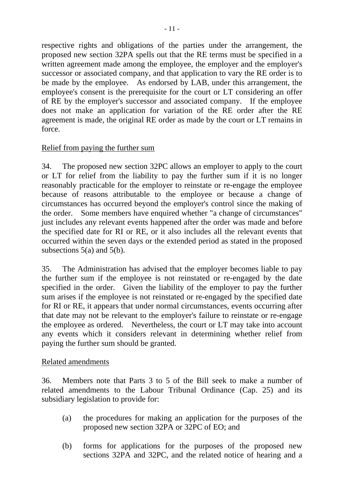respective rights and obligations of the parties under the arrangement, the proposed new section 32PA spells out that the RE terms must be specified in a written agreement made among the employee, the employer and the employer's successor or associated company, and that application to vary the RE order is to be made by the employee. As endorsed by LAB, under this arrangement, the employee's consent is the prerequisite for the court or LT considering an offer of RE by the employer's successor and associated company. If the employee does not make an application for variation of the RE order after the RE agreement is made, the original RE order as made by the court or LT remains in force.

## Relief from paying the further sum

34. The proposed new section 32PC allows an employer to apply to the court or LT for relief from the liability to pay the further sum if it is no longer reasonably practicable for the employer to reinstate or re-engage the employee because of reasons attributable to the employee or because a change of circumstances has occurred beyond the employer's control since the making of the order. Some members have enquired whether "a change of circumstances" just includes any relevant events happened after the order was made and before the specified date for RI or RE, or it also includes all the relevant events that occurred within the seven days or the extended period as stated in the proposed subsections 5(a) and 5(b).

35. The Administration has advised that the employer becomes liable to pay the further sum if the employee is not reinstated or re-engaged by the date specified in the order. Given the liability of the employer to pay the further sum arises if the employee is not reinstated or re-engaged by the specified date for RI or RE, it appears that under normal circumstances, events occurring after that date may not be relevant to the employer's failure to reinstate or re-engage the employee as ordered. Nevertheless, the court or LT may take into account any events which it considers relevant in determining whether relief from paying the further sum should be granted.

## Related amendments

36. Members note that Parts 3 to 5 of the Bill seek to make a number of related amendments to the Labour Tribunal Ordinance (Cap. 25) and its subsidiary legislation to provide for:

- (a) the procedures for making an application for the purposes of the proposed new section 32PA or 32PC of EO; and
- (b) forms for applications for the purposes of the proposed new sections 32PA and 32PC, and the related notice of hearing and a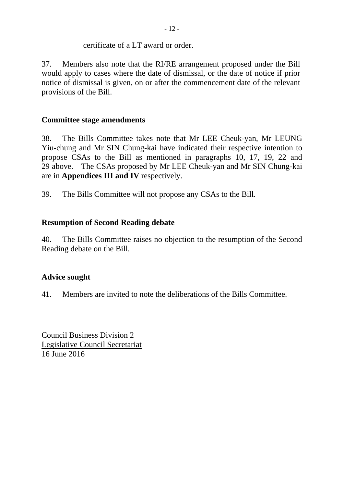## certificate of a LT award or order.

37. Members also note that the RI/RE arrangement proposed under the Bill would apply to cases where the date of dismissal, or the date of notice if prior notice of dismissal is given, on or after the commencement date of the relevant provisions of the Bill.

## **Committee stage amendments**

38. The Bills Committee takes note that Mr LEE Cheuk-yan, Mr LEUNG Yiu-chung and Mr SIN Chung-kai have indicated their respective intention to propose CSAs to the Bill as mentioned in paragraphs 10, 17, 19, 22 and 29 above. The CSAs proposed by Mr LEE Cheuk-yan and Mr SIN Chung-kai are in **Appendices III and IV** respectively.

39. The Bills Committee will not propose any CSAs to the Bill.

## **Resumption of Second Reading debate**

40. The Bills Committee raises no objection to the resumption of the Second Reading debate on the Bill.

## **Advice sought**

41. Members are invited to note the deliberations of the Bills Committee.

Council Business Division 2 Legislative Council Secretariat 16 June 2016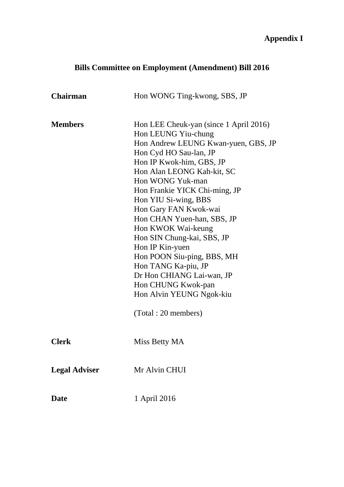# **Appendix I**

# **Bills Committee on Employment (Amendment) Bill 2016**

| <b>Chairman</b>      | Hon WONG Ting-kwong, SBS, JP                                                                                                                                                                                                                                                                                                                                                                                                                                                          |
|----------------------|---------------------------------------------------------------------------------------------------------------------------------------------------------------------------------------------------------------------------------------------------------------------------------------------------------------------------------------------------------------------------------------------------------------------------------------------------------------------------------------|
|                      |                                                                                                                                                                                                                                                                                                                                                                                                                                                                                       |
| <b>Members</b>       | Hon LEE Cheuk-yan (since 1 April 2016)<br>Hon LEUNG Yiu-chung<br>Hon Andrew LEUNG Kwan-yuen, GBS, JP<br>Hon Cyd HO Sau-lan, JP<br>Hon IP Kwok-him, GBS, JP<br>Hon Alan LEONG Kah-kit, SC<br>Hon WONG Yuk-man<br>Hon Frankie YICK Chi-ming, JP<br>Hon YIU Si-wing, BBS<br>Hon Gary FAN Kwok-wai<br>Hon CHAN Yuen-han, SBS, JP<br>Hon KWOK Wai-keung<br>Hon SIN Chung-kai, SBS, JP<br>Hon IP Kin-yuen<br>Hon POON Siu-ping, BBS, MH<br>Hon TANG Ka-piu, JP<br>Dr Hon CHIANG Lai-wan, JP |
|                      | Hon CHUNG Kwok-pan                                                                                                                                                                                                                                                                                                                                                                                                                                                                    |
|                      | Hon Alvin YEUNG Ngok-kiu                                                                                                                                                                                                                                                                                                                                                                                                                                                              |
|                      | (Total: 20 members)                                                                                                                                                                                                                                                                                                                                                                                                                                                                   |
| <b>Clerk</b>         | Miss Betty MA                                                                                                                                                                                                                                                                                                                                                                                                                                                                         |
| <b>Legal Adviser</b> | Mr Alvin CHUI                                                                                                                                                                                                                                                                                                                                                                                                                                                                         |
| <b>Date</b>          | 1 April 2016                                                                                                                                                                                                                                                                                                                                                                                                                                                                          |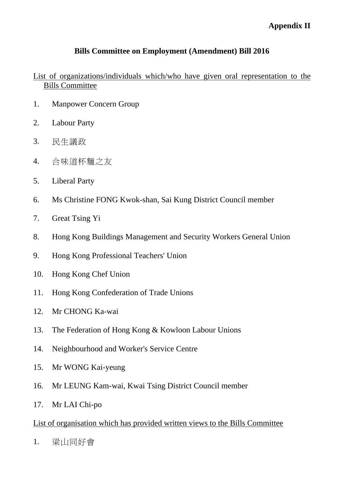## **Appendix II**

## **Bills Committee on Employment (Amendment) Bill 2016**

## List of organizations/individuals which/who have given oral representation to the Bills Committee

- 1. Manpower Concern Group
- 2. Labour Party
- 3. 民生議政
- 4. 合味道杯麵之友
- 5. Liberal Party
- 6. Ms Christine FONG Kwok-shan, Sai Kung District Council member
- 7. Great Tsing Yi
- 8. Hong Kong Buildings Management and Security Workers General Union
- 9. Hong Kong Professional Teachers' Union
- 10. Hong Kong Chef Union
- 11. Hong Kong Confederation of Trade Unions
- 12. Mr CHONG Ka-wai
- 13. The Federation of Hong Kong & Kowloon Labour Unions
- 14. Neighbourhood and Worker's Service Centre
- 15. Mr WONG Kai-yeung
- 16. Mr LEUNG Kam-wai, Kwai Tsing District Council member
- 17. Mr LAI Chi-po

## List of organisation which has provided written views to the Bills Committee

1. 梁山同好會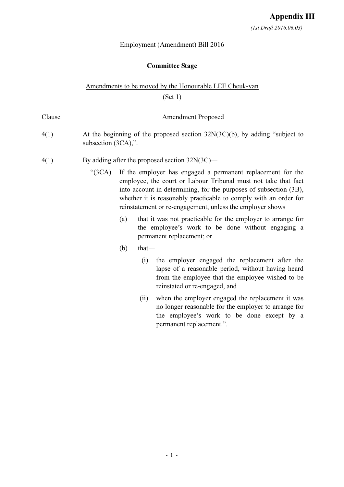#### Committee Stage

### Amendments to be moved by the Honourable LEE Cheuk-yan

(Set 1)

#### Clause **Amendment Proposed**

- 4(1) At the beginning of the proposed section 32N(3C)(b), by adding "subject to subsection (3CA),".
- $4(1)$  By adding after the proposed section  $32N(3C)$ 
	- "(3CA) If the employer has engaged a permanent replacement for the employee, the court or Labour Tribunal must not take that fact into account in determining, for the purposes of subsection (3B), whether it is reasonably practicable to comply with an order for reinstatement or re-engagement, unless the employer shows—
		- (a) that it was not practicable for the employer to arrange for the employee's work to be done without engaging a permanent replacement; or
		- $(b)$  that—
			- (i) the employer engaged the replacement after the lapse of a reasonable period, without having heard from the employee that the employee wished to be reinstated or re-engaged, and
			- (ii) when the employer engaged the replacement it was no longer reasonable for the employer to arrange for the employee's work to be done except by a permanent replacement.".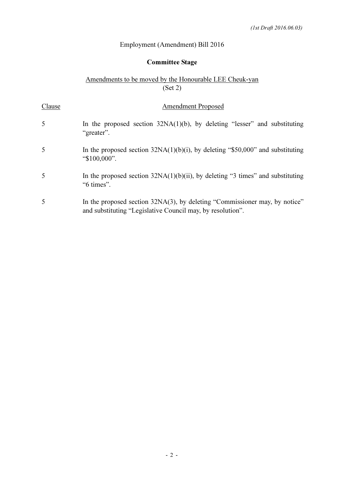## Committee Stage

#### Amendments to be moved by the Honourable LEE Cheuk-yan  $(Set 2)$

| Clause | <b>Amendment Proposed</b>                                                                                                                |
|--------|------------------------------------------------------------------------------------------------------------------------------------------|
| 5      | In the proposed section $32NA(1)(b)$ , by deleting "lesser" and substituting<br>"greater".                                               |
| 5      | In the proposed section $32NA(1)(b)(i)$ , by deleting "\$50,000" and substituting<br>"\$100,000".                                        |
| 5      | In the proposed section $32NA(1)(b)(ii)$ , by deleting "3 times" and substituting<br>"6 times".                                          |
| 5      | In the proposed section 32NA(3), by deleting "Commissioner may, by notice"<br>and substituting "Legislative Council may, by resolution". |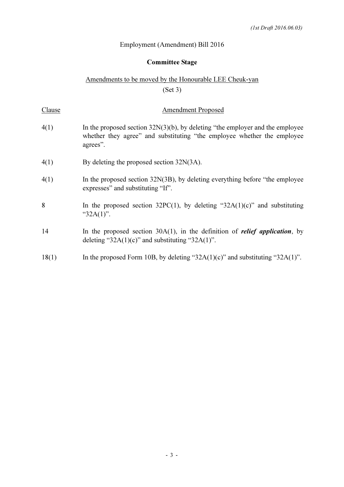## Committee Stage

## Amendments to be moved by the Honourable LEE Cheuk-yan (Set 3)

| Clause | <b>Amendment Proposed</b>                                                                                                                                               |
|--------|-------------------------------------------------------------------------------------------------------------------------------------------------------------------------|
| 4(1)   | In the proposed section $32N(3)(b)$ , by deleting "the employer and the employee<br>whether they agree" and substituting "the employee whether the employee<br>agrees". |
| 4(1)   | By deleting the proposed section 32N(3A).                                                                                                                               |
| 4(1)   | In the proposed section $32N(3B)$ , by deleting everything before "the employee"<br>expresses" and substituting "If".                                                   |
| 8      | In the proposed section $32PC(1)$ , by deleting " $32A(1)(c)$ " and substituting<br>" $32A(1)$ ".                                                                       |
| 14     | In the proposed section $30A(1)$ , in the definition of <i>relief application</i> , by<br>deleting " $32A(1)(c)$ " and substituting " $32A(1)$ ".                       |
| 18(1)  | In the proposed Form 10B, by deleting "32A(1)(c)" and substituting "32A(1)".                                                                                            |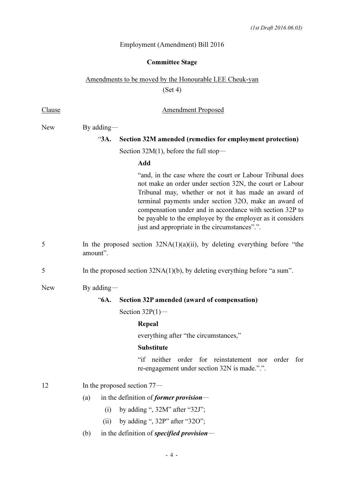## Committee Stage

## Amendments to be moved by the Honourable LEE Cheuk-yan (Set 4)

| Clause | <b>Amendment Proposed</b>                                                                                                                                                                                                                                                                                                                                                                                         |  |
|--------|-------------------------------------------------------------------------------------------------------------------------------------------------------------------------------------------------------------------------------------------------------------------------------------------------------------------------------------------------------------------------------------------------------------------|--|
| New    | By adding $-$                                                                                                                                                                                                                                                                                                                                                                                                     |  |
|        | Section 32M amended (remedies for employment protection)<br>"3A.                                                                                                                                                                                                                                                                                                                                                  |  |
|        | Section $32M(1)$ , before the full stop—                                                                                                                                                                                                                                                                                                                                                                          |  |
|        | Add                                                                                                                                                                                                                                                                                                                                                                                                               |  |
|        | "and, in the case where the court or Labour Tribunal does<br>not make an order under section 32N, the court or Labour<br>Tribunal may, whether or not it has made an award of<br>terminal payments under section 32O, make an award of<br>compensation under and in accordance with section 32P to<br>be payable to the employee by the employer as it considers<br>just and appropriate in the circumstances".". |  |
| 5      | In the proposed section $32NA(1)(a)(ii)$ , by deleting everything before "the<br>amount".                                                                                                                                                                                                                                                                                                                         |  |
| 5      | In the proposed section $32NA(1)(b)$ , by deleting everything before "a sum".                                                                                                                                                                                                                                                                                                                                     |  |
| New    | By adding $-$                                                                                                                                                                                                                                                                                                                                                                                                     |  |
|        | Section 32P amended (award of compensation)<br>"6А.                                                                                                                                                                                                                                                                                                                                                               |  |
|        | Section $32P(1)$ —                                                                                                                                                                                                                                                                                                                                                                                                |  |
|        | Repeal                                                                                                                                                                                                                                                                                                                                                                                                            |  |
|        | everything after "the circumstances,"                                                                                                                                                                                                                                                                                                                                                                             |  |
|        | <b>Substitute</b>                                                                                                                                                                                                                                                                                                                                                                                                 |  |
|        | "if neither order for reinstatement nor<br>order<br>for<br>re-engagement under section 32N is made.".".                                                                                                                                                                                                                                                                                                           |  |
| 12     | In the proposed section $77-$                                                                                                                                                                                                                                                                                                                                                                                     |  |
|        | in the definition of <i>former provision</i> —<br>(a)                                                                                                                                                                                                                                                                                                                                                             |  |
|        | by adding ", 32M" after "32J";<br>(i)                                                                                                                                                                                                                                                                                                                                                                             |  |
|        | by adding ", 32P" after "32O";<br>(ii)                                                                                                                                                                                                                                                                                                                                                                            |  |
|        |                                                                                                                                                                                                                                                                                                                                                                                                                   |  |

(b) in the definition of specified provision—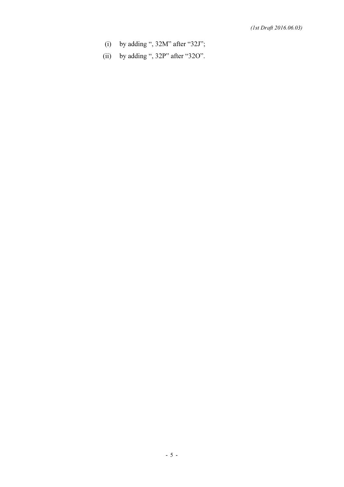- (i) by adding ", 32M" after "32J";
- (ii) by adding ", 32P" after "32O".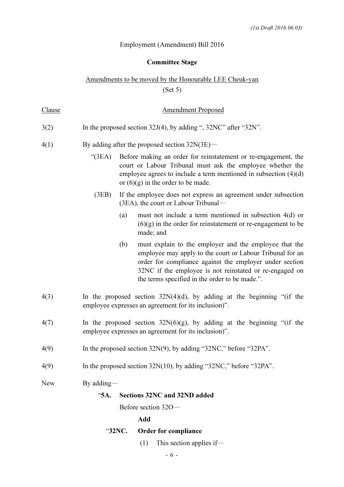### Committee Stage

## Amendments to be moved by the Honourable LEE Cheuk-yan (Set 5)

| <u>Clause</u> | <b>Amendment Proposed</b>                                                                                                                                                                                                                                                                          |  |
|---------------|----------------------------------------------------------------------------------------------------------------------------------------------------------------------------------------------------------------------------------------------------------------------------------------------------|--|
| 3(2)          | In the proposed section $32J(4)$ , by adding ", $32NC$ " after " $32N$ ".                                                                                                                                                                                                                          |  |
| 4(1)          | By adding after the proposed section $32N(3E)$ —                                                                                                                                                                                                                                                   |  |
|               | " $(3EA)$<br>Before making an order for reinstatement or re-engagement, the<br>court or Labour Tribunal must ask the employee whether the<br>employee agrees to include a term mentioned in subsection $(4)(d)$<br>or $(6)(g)$ in the order to be made.                                            |  |
|               | If the employee does not express an agreement under subsection<br>(3EB)<br>$(3EA)$ , the court or Labour Tribunal—                                                                                                                                                                                 |  |
|               | must not include a term mentioned in subsection $4(d)$ or<br>(a)<br>$(6)(g)$ in the order for reinstatement or re-engagement to be<br>made; and                                                                                                                                                    |  |
|               | (b)<br>must explain to the employer and the employee that the<br>employee may apply to the court or Labour Tribunal for an<br>order for compliance against the employer under section<br>32NC if the employee is not reinstated or re-engaged on<br>the terms specified in the order to be made.". |  |
| 4(3)          | In the proposed section $32N(4)(d)$ , by adding at the beginning "(if the<br>employee expresses an agreement for its inclusion)".                                                                                                                                                                  |  |
| 4(7)          | In the proposed section $32N(6)(g)$ , by adding at the beginning "(if the<br>employee expresses an agreement for its inclusion)".                                                                                                                                                                  |  |
| 4(9)          | In the proposed section $32N(9)$ , by adding " $32NC$ ," before " $32PA$ ".                                                                                                                                                                                                                        |  |
| 4(9)          | In the proposed section $32N(10)$ , by adding " $32NC$ ," before " $32PA$ ".                                                                                                                                                                                                                       |  |
| <b>New</b>    | By adding $-$                                                                                                                                                                                                                                                                                      |  |
|               | "5A.<br>Sections 32NC and 32ND added                                                                                                                                                                                                                                                               |  |
|               | Before section 320-                                                                                                                                                                                                                                                                                |  |
|               | Add                                                                                                                                                                                                                                                                                                |  |
|               | "32NC.<br><b>Order for compliance</b>                                                                                                                                                                                                                                                              |  |

(1) This section applies if—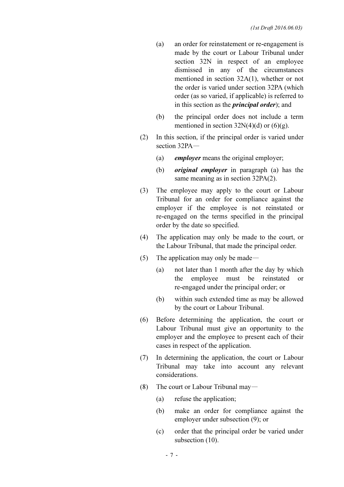- (a) an order for reinstatement or re-engagement is made by the court or Labour Tribunal under section 32N in respect of an employee dismissed in any of the circumstances mentioned in section 32A(1), whether or not the order is varied under section 32PA (which order (as so varied, if applicable) is referred to in this section as the *principal order*); and
- (b) the principal order does not include a term mentioned in section  $32N(4)(d)$  or  $(6)(g)$ .
- (2) In this section, if the principal order is varied under section 32PA—
	- (a) employer means the original employer;
	- (b) original employer in paragraph (a) has the same meaning as in section 32PA(2).
- (3) The employee may apply to the court or Labour Tribunal for an order for compliance against the employer if the employee is not reinstated or re-engaged on the terms specified in the principal order by the date so specified.
- (4) The application may only be made to the court, or the Labour Tribunal, that made the principal order.
- (5) The application may only be made—
	- (a) not later than 1 month after the day by which the employee must be reinstated or re-engaged under the principal order; or
	- (b) within such extended time as may be allowed by the court or Labour Tribunal.
- (6) Before determining the application, the court or Labour Tribunal must give an opportunity to the employer and the employee to present each of their cases in respect of the application.
- (7) In determining the application, the court or Labour Tribunal may take into account any relevant considerations.
- (8) The court or Labour Tribunal may—
	- (a) refuse the application;
	- (b) make an order for compliance against the employer under subsection (9); or
	- (c) order that the principal order be varied under subsection  $(10)$ .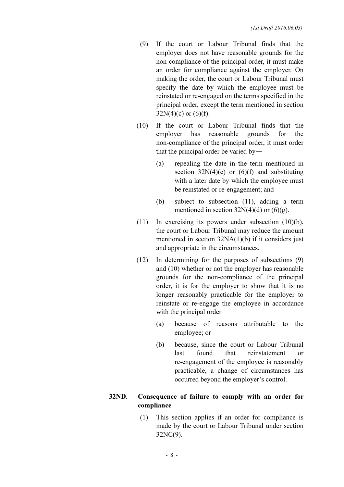- (9) If the court or Labour Tribunal finds that the employer does not have reasonable grounds for the non-compliance of the principal order, it must make an order for compliance against the employer. On making the order, the court or Labour Tribunal must specify the date by which the employee must be reinstated or re-engaged on the terms specified in the principal order, except the term mentioned in section  $32N(4)(c)$  or  $(6)(f)$ .
- (10) If the court or Labour Tribunal finds that the employer has reasonable grounds for the non-compliance of the principal order, it must order that the principal order be varied by—
	- (a) repealing the date in the term mentioned in section  $32N(4)(c)$  or  $(6)(f)$  and substituting with a later date by which the employee must be reinstated or re-engagement; and
	- (b) subject to subsection (11), adding a term mentioned in section  $32N(4)(d)$  or  $(6)(g)$ .
- (11) In exercising its powers under subsection (10)(b), the court or Labour Tribunal may reduce the amount mentioned in section 32NA(1)(b) if it considers just and appropriate in the circumstances.
- (12) In determining for the purposes of subsections (9) and (10) whether or not the employer has reasonable grounds for the non-compliance of the principal order, it is for the employer to show that it is no longer reasonably practicable for the employer to reinstate or re-engage the employee in accordance with the principal order—
	- (a) because of reasons attributable to the employee; or
	- (b) because, since the court or Labour Tribunal last found that reinstatement or re-engagement of the employee is reasonably practicable, a change of circumstances has occurred beyond the employer's control.

#### 32ND. Consequence of failure to comply with an order for compliance

 (1) This section applies if an order for compliance is made by the court or Labour Tribunal under section 32NC(9).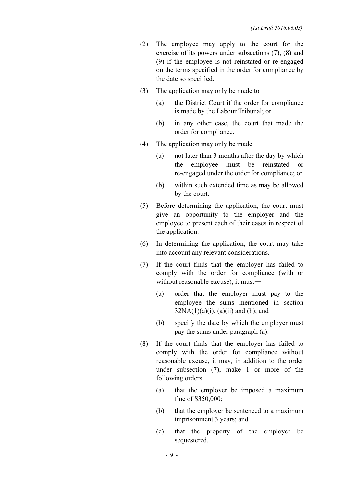- (2) The employee may apply to the court for the exercise of its powers under subsections (7), (8) and (9) if the employee is not reinstated or re-engaged on the terms specified in the order for compliance by the date so specified.
- (3) The application may only be made to  $-$ 
	- (a) the District Court if the order for compliance is made by the Labour Tribunal; or
	- (b) in any other case, the court that made the order for compliance.
- (4) The application may only be made—
	- (a) not later than 3 months after the day by which the employee must be reinstated or re-engaged under the order for compliance; or
	- (b) within such extended time as may be allowed by the court.
- (5) Before determining the application, the court must give an opportunity to the employer and the employee to present each of their cases in respect of the application.
- (6) In determining the application, the court may take into account any relevant considerations.
- (7) If the court finds that the employer has failed to comply with the order for compliance (with or without reasonable excuse), it must—
	- (a) order that the employer must pay to the employee the sums mentioned in section  $32NA(1)(a)(i)$ ,  $(a)(ii)$  and  $(b)$ ; and
	- (b) specify the date by which the employer must pay the sums under paragraph (a).
- (8) If the court finds that the employer has failed to comply with the order for compliance without reasonable excuse, it may, in addition to the order under subsection (7), make 1 or more of the following orders—
	- (a) that the employer be imposed a maximum fine of \$350,000;
	- (b) that the employer be sentenced to a maximum imprisonment 3 years; and
	- (c) that the property of the employer be sequestered.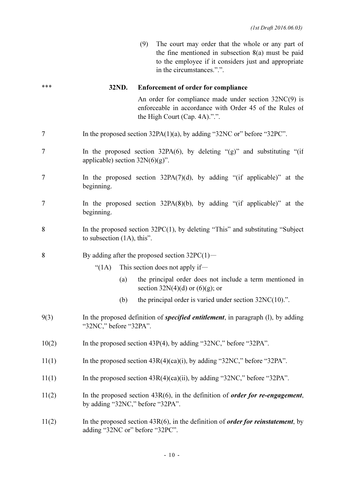(9) The court may order that the whole or any part of the fine mentioned in subsection 8(a) must be paid to the employee if it considers just and appropriate in the circumstances.".".

# \*\*\* 32ND. Enforcement of order for compliance An order for compliance made under section 32NC(9) is enforceable in accordance with Order 45 of the Rules of the High Court (Cap. 4A).".". 7 In the proposed section 32PA(1)(a), by adding "32NC or" before "32PC". 7 In the proposed section 32PA(6), by deleting "(g)" and substituting "(if applicable) section  $32N(6)(g)$ ". 7 In the proposed section 32PA(7)(d), by adding "(if applicable)" at the beginning. 7 In the proposed section 32PA(8)(b), by adding "(if applicable)" at the beginning. 8 In the proposed section 32PC(1), by deleting "This" and substituting "Subject to subsection (1A), this". 8 By adding after the proposed section  $32PC(1)$ — "(1A) This section does not apply if— (a) the principal order does not include a term mentioned in section  $32N(4)(d)$  or  $(6)(g)$ ; or (b) the principal order is varied under section 32NC(10).".  $9(3)$  In the proposed definition of *specified entitlement*, in paragraph (1), by adding "32NC," before "32PA". 10(2) In the proposed section 43P(4), by adding "32NC," before "32PA". 11(1) In the proposed section 43R(4)(ca)(i), by adding "32NC," before "32PA". 11(1) In the proposed section  $43R(4)(ca)(ii)$ , by adding "32NC," before "32PA". 11(2) In the proposed section  $43R(6)$ , in the definition of *order for re-engagement*, by adding "32NC," before "32PA". 11(2) In the proposed section  $43R(6)$ , in the definition of *order for reinstatement*, by adding "32NC or" before "32PC".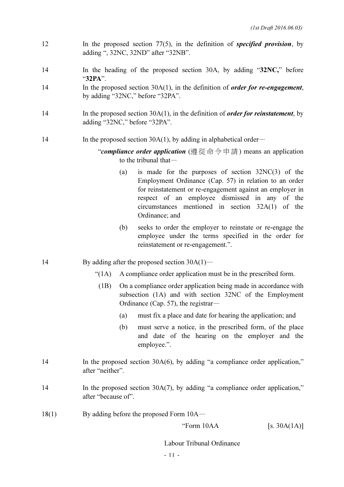- 12 In the proposed section 77(5), in the definition of *specified provision*, by adding ", 32NC, 32ND" after "32NB".
- 14 In the heading of the proposed section 30A, by adding "32NC," before "32PA".
- 14 In the proposed section 30A(1), in the definition of *order for re-engagement*, by adding "32NC," before "32PA".
- 14 In the proposed section 30A(1), in the definition of *order for reinstatement*, by adding "32NC," before "32PA".

#### 14 In the proposed section 30A(1), by adding in alphabetical order—

"compliance order application (遵從 命令 申 請) means an application to the tribunal that—

- (a) is made for the purposes of section 32NC(3) of the Employment Ordinance (Cap. 57) in relation to an order for reinstatement or re-engagement against an employer in respect of an employee dismissed in any of the circumstances mentioned in section 32A(1) of the Ordinance; and
- (b) seeks to order the employer to reinstate or re-engage the employee under the terms specified in the order for reinstatement or re-engagement.".
- 14 By adding after the proposed section 30A(1)—
	- "(1A) A compliance order application must be in the prescribed form.
	- (1B) On a compliance order application being made in accordance with subsection (1A) and with section 32NC of the Employment Ordinance (Cap. 57), the registrar—
		- (a) must fix a place and date for hearing the application; and
		- (b) must serve a notice, in the prescribed form, of the place and date of the hearing on the employer and the employee.".
- 14 In the proposed section 30A(6), by adding "a compliance order application," after "neither".
- 14 In the proposed section 30A(7), by adding "a compliance order application," after "because of".
- 18(1) By adding before the proposed Form 10A—

"Form  $10AA$  [s.  $30A(1A)$ ]

Labour Tribunal Ordinance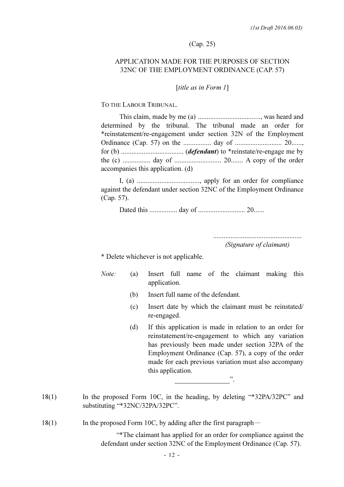#### (Cap. 25)

#### APPLICATION MADE FOR THE PURPOSES OF SECTION 32NC OF THE EMPLOYMENT ORDINANCE (CAP. 57)

#### [title as in Form 1]

TO THE LABOUR TRIBUNAL.

 This claim, made by me (a) ...................................., was heard and determined by the tribunal. The tribunal made an order for \*reinstatement/re-engagement under section 32N of the Employment Ordinance (Cap. 57) on the ................ day of ........................... 20......, for (b) .................................... (defendant) to \*reinstate/re-engage me by the (c) ................ day of ........................... 20....... A copy of the order accompanies this application. (d)

 I, (a) ...................................., apply for an order for compliance against the defendant under section 32NC of the Employment Ordinance (Cap. 57).

Dated this ................ day of ........................... 20......

 ................................................... (Signature of claimant)

\* Delete whichever is not applicable.

 Note: (a) Insert full name of the claimant making this application.

- (b) Insert full name of the defendant.
- (c) Insert date by which the claimant must be reinstated/ re-engaged.
- (d) If this application is made in relation to an order for reinstatement/re-engagement to which any variation has previously been made under section 32PA of the Employment Ordinance (Cap. 57), a copy of the order made for each previous variation must also accompany this application.
- 18(1) In the proposed Form 10C, in the heading, by deleting "\*32PA/32PC" and substituting "\*32NC/32PA/32PC".
- 18(1) In the proposed Form 10C, by adding after the first paragraph—

".

 "\*The claimant has applied for an order for compliance against the defendant under section 32NC of the Employment Ordinance (Cap. 57).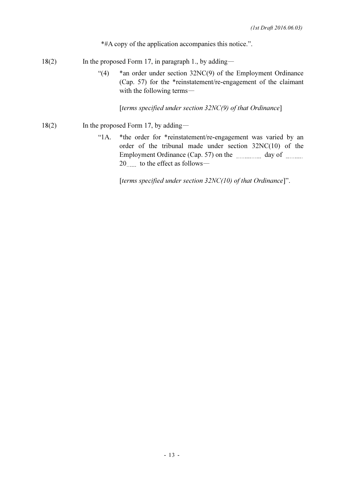\*#A copy of the application accompanies this notice.".

- 18(2) In the proposed Form 17, in paragraph 1., by adding—
	- "(4) \*an order under section 32NC(9) of the Employment Ordinance (Cap. 57) for the \*reinstatement/re-engagement of the claimant with the following terms—

[terms specified under section  $32NC(9)$  of that Ordinance]

- $18(2)$  In the proposed Form 17, by adding—
	- "1A. \*the order for \*reinstatement/re-engagement was varied by an order of the tribunal made under section 32NC(10) of the Employment Ordinance (Cap. 57) on the day of manual 20 to the effect as follows-

[terms specified under section  $32NC(10)$  of that Ordinance]".